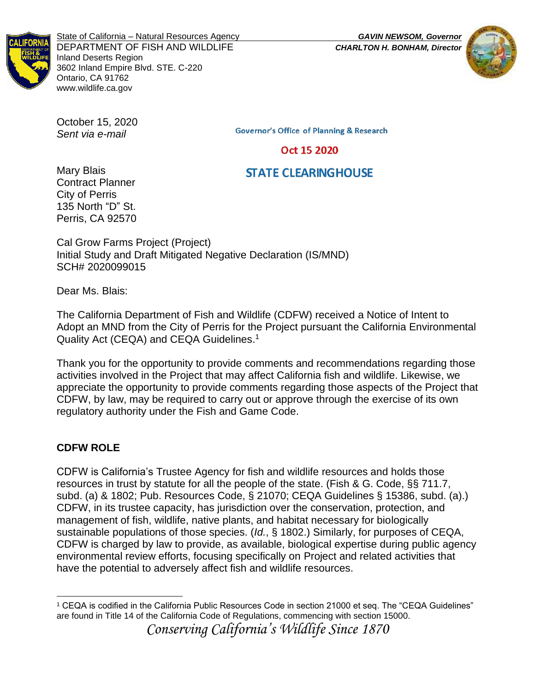

State of California – Natural Resources Agency *GAVIN NEWSOM, Governor* DEPARTMENT OF FISH AND WILDLIFE *CHARLTON H. BONHAM, Director* Inland Deserts Region 3602 Inland Empire Blvd. STE. C-220 Ontario, CA 91762 www.wildlife.ca.gov



October 15, 2020 *Sent via e-mail*

**Governor's Office of Planning & Research** 

Oct 15 2020

# **STATE CLEARINGHOUSE**

Mary Blais Contract Planner City of Perris 135 North "D" St. Perris, CA 92570

Cal Grow Farms Project (Project) Initial Study and Draft Mitigated Negative Declaration (IS/MND) SCH# 2020099015

Dear Ms. Blais:

The California Department of Fish and Wildlife (CDFW) received a Notice of Intent to Adopt an MND from the City of Perris for the Project pursuant the California Environmental Quality Act (CEQA) and CEQA Guidelines. 1

Thank you for the opportunity to provide comments and recommendations regarding those activities involved in the Project that may affect California fish and wildlife. Likewise, we appreciate the opportunity to provide comments regarding those aspects of the Project that CDFW, by law, may be required to carry out or approve through the exercise of its own regulatory authority under the Fish and Game Code.

# **CDFW ROLE**

CDFW is California's Trustee Agency for fish and wildlife resources and holds those resources in trust by statute for all the people of the state. (Fish & G. Code, §§ 711.7, subd. (a) & 1802; Pub. Resources Code, § 21070; CEQA Guidelines § 15386, subd. (a).) CDFW, in its trustee capacity, has jurisdiction over the conservation, protection, and management of fish, wildlife, native plants, and habitat necessary for biologically sustainable populations of those species. (*Id.*, § 1802.) Similarly, for purposes of CEQA, CDFW is charged by law to provide, as available, biological expertise during public agency environmental review efforts, focusing specifically on Project and related activities that have the potential to adversely affect fish and wildlife resources.

*Conserving California's Wildlife Since 1870*

<sup>1</sup> CEQA is codified in the California Public Resources Code in section 21000 et seq. The "CEQA Guidelines" are found in Title 14 of the California Code of Regulations, commencing with section 15000.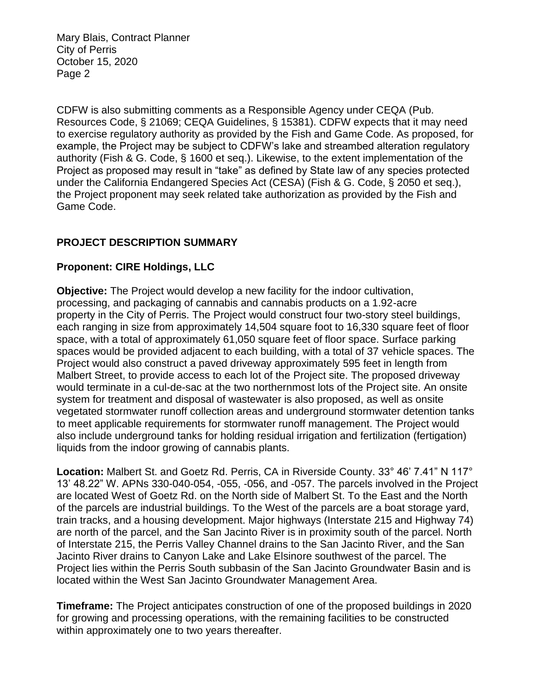CDFW is also submitting comments as a Responsible Agency under CEQA (Pub. Resources Code, § 21069; CEQA Guidelines, § 15381). CDFW expects that it may need to exercise regulatory authority as provided by the Fish and Game Code. As proposed, for example, the Project may be subject to CDFW's lake and streambed alteration regulatory authority (Fish & G. Code, § 1600 et seq.). Likewise, to the extent implementation of the Project as proposed may result in "take" as defined by State law of any species protected under the California Endangered Species Act (CESA) (Fish & G. Code, § 2050 et seq.), the Project proponent may seek related take authorization as provided by the Fish and Game Code.

## **PROJECT DESCRIPTION SUMMARY**

## **Proponent: CIRE Holdings, LLC**

**Objective:** The Project would develop a new facility for the indoor cultivation, processing, and packaging of cannabis and cannabis products on a 1.92-acre property in the City of Perris. The Project would construct four two-story steel buildings, each ranging in size from approximately 14,504 square foot to 16,330 square feet of floor space, with a total of approximately 61,050 square feet of floor space. Surface parking spaces would be provided adjacent to each building, with a total of 37 vehicle spaces. The Project would also construct a paved driveway approximately 595 feet in length from Malbert Street, to provide access to each lot of the Project site. The proposed driveway would terminate in a cul-de-sac at the two northernmost lots of the Project site. An onsite system for treatment and disposal of wastewater is also proposed, as well as onsite vegetated stormwater runoff collection areas and underground stormwater detention tanks to meet applicable requirements for stormwater runoff management. The Project would also include underground tanks for holding residual irrigation and fertilization (fertigation) liquids from the indoor growing of cannabis plants.

**Location:** Malbert St. and Goetz Rd. Perris, CA in Riverside County. 33° 46' 7.41" N 117° 13' 48.22" W. APNs 330-040-054, -055, -056, and -057. The parcels involved in the Project are located West of Goetz Rd. on the North side of Malbert St. To the East and the North of the parcels are industrial buildings. To the West of the parcels are a boat storage yard, train tracks, and a housing development. Major highways (Interstate 215 and Highway 74) are north of the parcel, and the San Jacinto River is in proximity south of the parcel. North of Interstate 215, the Perris Valley Channel drains to the San Jacinto River, and the San Jacinto River drains to Canyon Lake and Lake Elsinore southwest of the parcel. The Project lies within the Perris South subbasin of the San Jacinto Groundwater Basin and is located within the West San Jacinto Groundwater Management Area.

**Timeframe:** The Project anticipates construction of one of the proposed buildings in 2020 for growing and processing operations, with the remaining facilities to be constructed within approximately one to two years thereafter.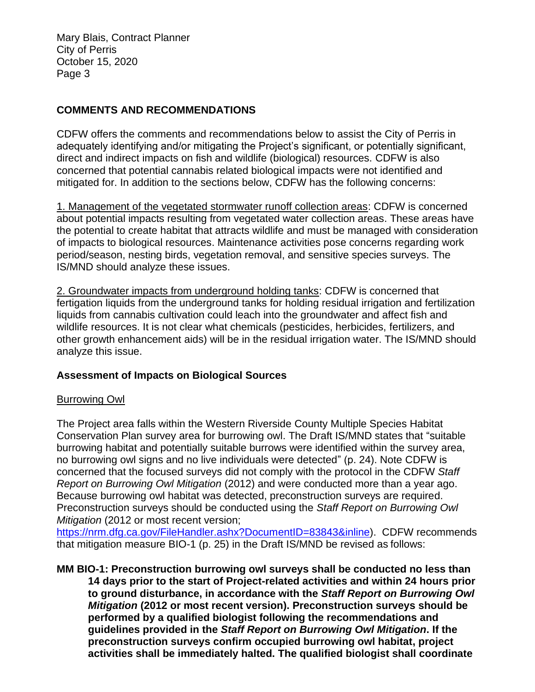## **COMMENTS AND RECOMMENDATIONS**

CDFW offers the comments and recommendations below to assist the City of Perris in adequately identifying and/or mitigating the Project's significant, or potentially significant, direct and indirect impacts on fish and wildlife (biological) resources. CDFW is also concerned that potential cannabis related biological impacts were not identified and mitigated for. In addition to the sections below, CDFW has the following concerns:

1. Management of the vegetated stormwater runoff collection areas: CDFW is concerned about potential impacts resulting from vegetated water collection areas. These areas have the potential to create habitat that attracts wildlife and must be managed with consideration of impacts to biological resources. Maintenance activities pose concerns regarding work period/season, nesting birds, vegetation removal, and sensitive species surveys. The IS/MND should analyze these issues.

2. Groundwater impacts from underground holding tanks: CDFW is concerned that fertigation liquids from the underground tanks for holding residual irrigation and fertilization liquids from cannabis cultivation could leach into the groundwater and affect fish and wildlife resources. It is not clear what chemicals (pesticides, herbicides, fertilizers, and other growth enhancement aids) will be in the residual irrigation water. The IS/MND should analyze this issue.

### **Assessment of Impacts on Biological Sources**

### Burrowing Owl

The Project area falls within the Western Riverside County Multiple Species Habitat Conservation Plan survey area for burrowing owl. The Draft IS/MND states that "suitable burrowing habitat and potentially suitable burrows were identified within the survey area, no burrowing owl signs and no live individuals were detected" (p. 24). Note CDFW is concerned that the focused surveys did not comply with the protocol in the CDFW *Staff Report on Burrowing Owl Mitigation* (2012) and were conducted more than a year ago. Because burrowing owl habitat was detected, preconstruction surveys are required. Preconstruction surveys should be conducted using the *Staff Report on Burrowing Owl Mitigation* (2012 or most recent version;

[https://nrm.dfg.ca.gov/FileHandler.ashx?DocumentID=83843&inline\)](https://nrm.dfg.ca.gov/FileHandler.ashx?DocumentID=83843&inline). CDFW recommends that mitigation measure BIO-1 (p. 25) in the Draft IS/MND be revised as follows:

**MM BIO-1: Preconstruction burrowing owl surveys shall be conducted no less than 14 days prior to the start of Project-related activities and within 24 hours prior to ground disturbance, in accordance with the** *Staff Report on Burrowing Owl Mitigation* **(2012 or most recent version). Preconstruction surveys should be performed by a qualified biologist following the recommendations and guidelines provided in the** *Staff Report on Burrowing Owl Mitigation***. If the preconstruction surveys confirm occupied burrowing owl habitat, project activities shall be immediately halted. The qualified biologist shall coordinate**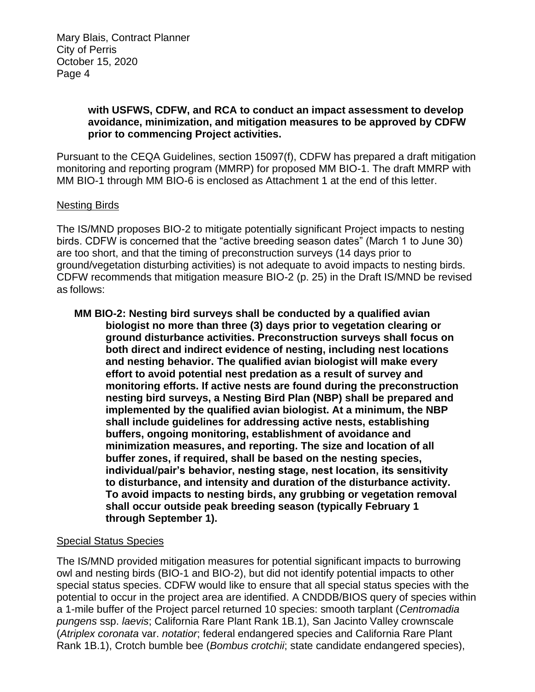### **with USFWS, CDFW, and RCA to conduct an impact assessment to develop avoidance, minimization, and mitigation measures to be approved by CDFW prior to commencing Project activities.**

Pursuant to the CEQA Guidelines, section 15097(f), CDFW has prepared a draft mitigation monitoring and reporting program (MMRP) for proposed MM BIO-1. The draft MMRP with MM BIO-1 through MM BIO-6 is enclosed as Attachment 1 at the end of this letter.

#### Nesting Birds

The IS/MND proposes BIO-2 to mitigate potentially significant Project impacts to nesting birds. CDFW is concerned that the "active breeding season dates" (March 1 to June 30) are too short, and that the timing of preconstruction surveys (14 days prior to ground/vegetation disturbing activities) is not adequate to avoid impacts to nesting birds. CDFW recommends that mitigation measure BIO-2 (p. 25) in the Draft IS/MND be revised as follows:

**MM BIO-2: Nesting bird surveys shall be conducted by a qualified avian biologist no more than three (3) days prior to vegetation clearing or ground disturbance activities. Preconstruction surveys shall focus on both direct and indirect evidence of nesting, including nest locations and nesting behavior. The qualified avian biologist will make every effort to avoid potential nest predation as a result of survey and monitoring efforts. If active nests are found during the preconstruction nesting bird surveys, a Nesting Bird Plan (NBP) shall be prepared and implemented by the qualified avian biologist. At a minimum, the NBP shall include guidelines for addressing active nests, establishing buffers, ongoing monitoring, establishment of avoidance and minimization measures, and reporting. The size and location of all buffer zones, if required, shall be based on the nesting species, individual/pair's behavior, nesting stage, nest location, its sensitivity to disturbance, and intensity and duration of the disturbance activity. To avoid impacts to nesting birds, any grubbing or vegetation removal shall occur outside peak breeding season (typically February 1 through September 1).**

### Special Status Species

The IS/MND provided mitigation measures for potential significant impacts to burrowing owl and nesting birds (BIO-1 and BIO-2), but did not identify potential impacts to other special status species. CDFW would like to ensure that all special status species with the potential to occur in the project area are identified. A CNDDB/BIOS query of species within a 1-mile buffer of the Project parcel returned 10 species: smooth tarplant (*Centromadia pungens* ssp. *laevis*; California Rare Plant Rank 1B.1), San Jacinto Valley crownscale (*Atriplex coronata* var. *notatior*; federal endangered species and California Rare Plant Rank 1B.1), Crotch bumble bee (*Bombus crotchii*; state candidate endangered species),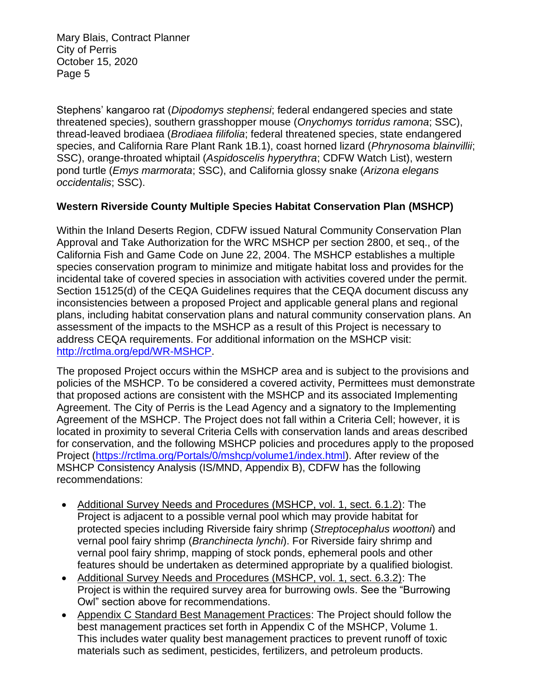Stephens' kangaroo rat (*Dipodomys stephensi*; federal endangered species and state threatened species), southern grasshopper mouse (*Onychomys torridus ramona*; SSC), thread-leaved brodiaea (*Brodiaea filifolia*; federal threatened species, state endangered species, and California Rare Plant Rank 1B.1), coast horned lizard (*Phrynosoma blainvillii*; SSC), orange-throated whiptail (*Aspidoscelis hyperythra*; CDFW Watch List), western pond turtle (*Emys marmorata*; SSC), and California glossy snake (*Arizona elegans occidentalis*; SSC).

## **Western Riverside County Multiple Species Habitat Conservation Plan (MSHCP)**

Within the Inland Deserts Region, CDFW issued Natural Community Conservation Plan Approval and Take Authorization for the WRC MSHCP per section 2800, et seq., of the California Fish and Game Code on June 22, 2004. The MSHCP establishes a multiple species conservation program to minimize and mitigate habitat loss and provides for the incidental take of covered species in association with activities covered under the permit. Section 15125(d) of the CEQA Guidelines requires that the CEQA document discuss any inconsistencies between a proposed Project and applicable general plans and regional plans, including habitat conservation plans and natural community conservation plans. An assessment of the impacts to the MSHCP as a result of this Project is necessary to address CEQA requirements. For additional information on the MSHCP visit: [http://rctlma.org/epd/WR-MSHCP.](http://rctlma.org/epd/WR-MSHCP)

The proposed Project occurs within the MSHCP area and is subject to the provisions and policies of the MSHCP. To be considered a covered activity, Permittees must demonstrate that proposed actions are consistent with the MSHCP and its associated Implementing Agreement. The City of Perris is the Lead Agency and a signatory to the Implementing Agreement of the MSHCP. The Project does not fall within a Criteria Cell; however, it is located in proximity to several Criteria Cells with conservation lands and areas described for conservation, and the following MSHCP policies and procedures apply to the proposed Project [\(https://rctlma.org/Portals/0/mshcp/volume1/index.html\)](https://rctlma.org/Portals/0/mshcp/volume1/index.html). After review of the MSHCP Consistency Analysis (IS/MND, Appendix B), CDFW has the following recommendations:

- Additional Survey Needs and Procedures (MSHCP, vol. 1, sect. 6.1.2): The Project is adjacent to a possible vernal pool which may provide habitat for protected species including Riverside fairy shrimp (*Streptocephalus woottoni*) and vernal pool fairy shrimp (*Branchinecta lynchi*). For Riverside fairy shrimp and vernal pool fairy shrimp, mapping of stock ponds, ephemeral pools and other features should be undertaken as determined appropriate by a qualified biologist.
- Additional Survey Needs and Procedures (MSHCP, vol. 1, sect. 6.3.2): The Project is within the required survey area for burrowing owls. See the "Burrowing Owl" section above for recommendations.
- Appendix C Standard Best Management Practices: The Project should follow the best management practices set forth in Appendix C of the MSHCP, Volume 1. This includes water quality best management practices to prevent runoff of toxic materials such as sediment, pesticides, fertilizers, and petroleum products.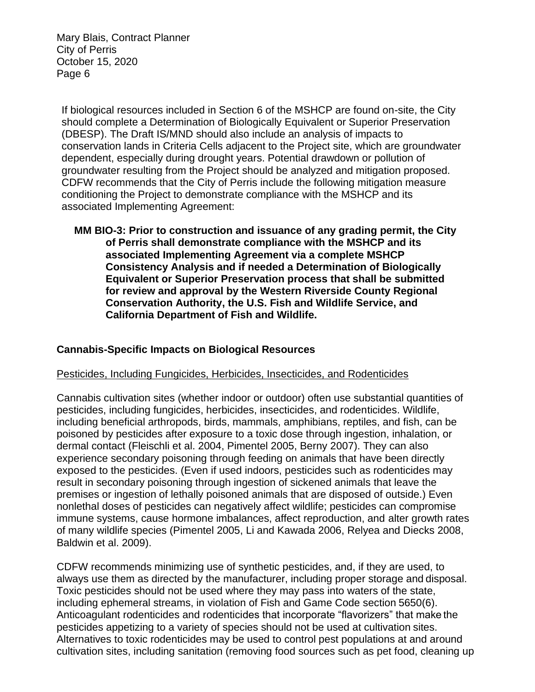If biological resources included in Section 6 of the MSHCP are found on-site, the City should complete a Determination of Biologically Equivalent or Superior Preservation (DBESP). The Draft IS/MND should also include an analysis of impacts to conservation lands in Criteria Cells adjacent to the Project site, which are groundwater dependent, especially during drought years. Potential drawdown or pollution of groundwater resulting from the Project should be analyzed and mitigation proposed. CDFW recommends that the City of Perris include the following mitigation measure conditioning the Project to demonstrate compliance with the MSHCP and its associated Implementing Agreement:

**MM BIO-3: Prior to construction and issuance of any grading permit, the City of Perris shall demonstrate compliance with the MSHCP and its associated Implementing Agreement via a complete MSHCP Consistency Analysis and if needed a Determination of Biologically Equivalent or Superior Preservation process that shall be submitted for review and approval by the Western Riverside County Regional Conservation Authority, the U.S. Fish and Wildlife Service, and California Department of Fish and Wildlife.**

## **Cannabis-Specific Impacts on Biological Resources**

### Pesticides, Including Fungicides, Herbicides, Insecticides, and Rodenticides

Cannabis cultivation sites (whether indoor or outdoor) often use substantial quantities of pesticides, including fungicides, herbicides, insecticides, and rodenticides. Wildlife, including beneficial arthropods, birds, mammals, amphibians, reptiles, and fish, can be poisoned by pesticides after exposure to a toxic dose through ingestion, inhalation, or dermal contact (Fleischli et al. 2004, Pimentel 2005, Berny 2007). They can also experience secondary poisoning through feeding on animals that have been directly exposed to the pesticides. (Even if used indoors, pesticides such as rodenticides may result in secondary poisoning through ingestion of sickened animals that leave the premises or ingestion of lethally poisoned animals that are disposed of outside.) Even nonlethal doses of pesticides can negatively affect wildlife; pesticides can compromise immune systems, cause hormone imbalances, affect reproduction, and alter growth rates of many wildlife species (Pimentel 2005, Li and Kawada 2006, Relyea and Diecks 2008, Baldwin et al. 2009).

CDFW recommends minimizing use of synthetic pesticides, and, if they are used, to always use them as directed by the manufacturer, including proper storage and disposal. Toxic pesticides should not be used where they may pass into waters of the state, including ephemeral streams, in violation of Fish and Game Code section 5650(6). Anticoagulant rodenticides and rodenticides that incorporate "flavorizers" that make the pesticides appetizing to a variety of species should not be used at cultivation sites. Alternatives to toxic rodenticides may be used to control pest populations at and around cultivation sites, including sanitation (removing food sources such as pet food, cleaning up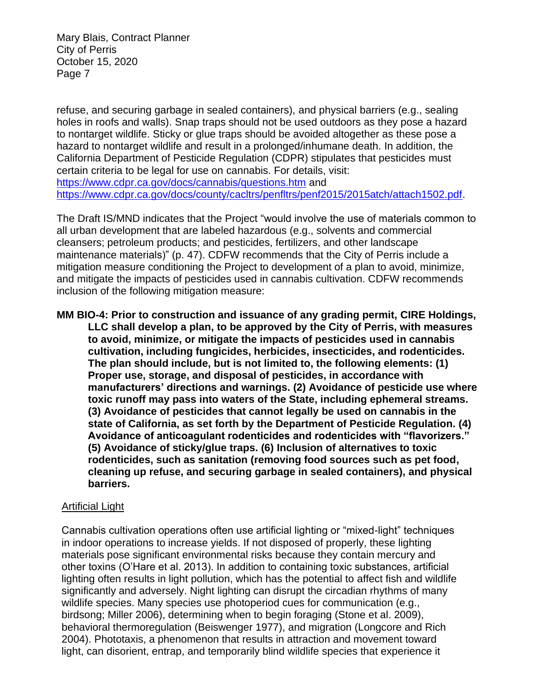refuse, and securing garbage in sealed containers), and physical barriers (e.g., sealing holes in roofs and walls). Snap traps should not be used outdoors as they pose a hazard to nontarget wildlife. Sticky or glue traps should be avoided altogether as these pose a hazard to nontarget wildlife and result in a prolonged/inhumane death. In addition, the California Department of Pesticide Regulation (CDPR) stipulates that pesticides must certain criteria to be legal for use on cannabis. For details, visit: <https://www.cdpr.ca.gov/docs/cannabis/questions.htm> and [https://www.cdpr.ca.gov/docs/county/cacltrs/penfltrs/penf2015/2015atch/attach1502.pdf.](https://www.cdpr.ca.gov/docs/county/cacltrs/penfltrs/penf2015/2015atch/attach1502.pdf)

The Draft IS/MND indicates that the Project "would involve the use of materials common to all urban development that are labeled hazardous (e.g., solvents and commercial cleansers; petroleum products; and pesticides, fertilizers, and other landscape maintenance materials)" (p. 47). CDFW recommends that the City of Perris include a mitigation measure conditioning the Project to development of a plan to avoid, minimize, and mitigate the impacts of pesticides used in cannabis cultivation. CDFW recommends inclusion of the following mitigation measure:

**MM BIO-4: Prior to construction and issuance of any grading permit, CIRE Holdings, LLC shall develop a plan, to be approved by the City of Perris, with measures to avoid, minimize, or mitigate the impacts of pesticides used in cannabis cultivation, including fungicides, herbicides, insecticides, and rodenticides. The plan should include, but is not limited to, the following elements: (1) Proper use, storage, and disposal of pesticides, in accordance with manufacturers' directions and warnings. (2) Avoidance of pesticide use where toxic runoff may pass into waters of the State, including ephemeral streams. (3) Avoidance of pesticides that cannot legally be used on cannabis in the state of California, as set forth by the Department of Pesticide Regulation. (4) Avoidance of anticoagulant rodenticides and rodenticides with "flavorizers." (5) Avoidance of sticky/glue traps. (6) Inclusion of alternatives to toxic rodenticides, such as sanitation (removing food sources such as pet food, cleaning up refuse, and securing garbage in sealed containers), and physical barriers.**

### Artificial Light

Cannabis cultivation operations often use artificial lighting or "mixed-light" techniques in indoor operations to increase yields. If not disposed of properly, these lighting materials pose significant environmental risks because they contain mercury and other toxins (O'Hare et al. 2013). In addition to containing toxic substances, artificial lighting often results in light pollution, which has the potential to affect fish and wildlife significantly and adversely. Night lighting can disrupt the circadian rhythms of many wildlife species. Many species use photoperiod cues for communication (e.g., birdsong; Miller 2006), determining when to begin foraging (Stone et al. 2009), behavioral thermoregulation (Beiswenger 1977), and migration (Longcore and Rich 2004). Phototaxis, a phenomenon that results in attraction and movement toward light, can disorient, entrap, and temporarily blind wildlife species that experience it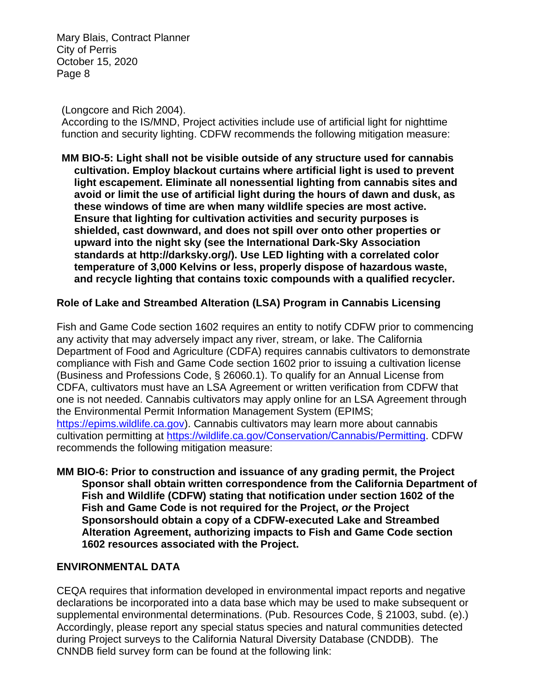(Longcore and Rich 2004).

According to the IS/MND, Project activities include use of artificial light for nighttime function and security lighting. CDFW recommends the following mitigation measure:

**MM BIO-5: Light shall not be visible outside of any structure used for cannabis cultivation. Employ blackout curtains where artificial light is used to prevent light escapement. Eliminate all nonessential lighting from cannabis sites and avoid or limit the use of artificial light during the hours of dawn and dusk, as these windows of time are when many wildlife species are most active. Ensure that lighting for cultivation activities and security purposes is shielded, cast downward, and does not spill over onto other properties or upward into the night sky (see the International Dark-Sky Association standards at [http://darksky.org/\).](http://darksky.org/)) Use LED lighting with a correlated color temperature of 3,000 Kelvins or less, properly dispose of hazardous waste, and recycle lighting that contains toxic compounds with a qualified recycler.**

### **Role of Lake and Streambed Alteration (LSA) Program in Cannabis Licensing**

Fish and Game Code section 1602 requires an entity to notify CDFW prior to commencing any activity that may adversely impact any river, stream, or lake. The California Department of Food and Agriculture (CDFA) requires cannabis cultivators to demonstrate compliance with Fish and Game Code section 1602 prior to issuing a cultivation license (Business and Professions Code, § 26060.1). To qualify for an Annual License from CDFA, cultivators must have an LSA Agreement or written verification from CDFW that one is not needed. Cannabis cultivators may apply online for an LSA Agreement through the Environmental Permit Information Management System (EPIMS; [https://epims.wildlife.ca.gov\)](https://epims.wildlife.ca.gov/). Cannabis cultivators may learn more about cannabis cultivation permitting at [https://wildlife.ca.gov/Conservation/Cannabis/Permitting.](https://wildlife.ca.gov/Conservation/Cannabis/Permitting) CDFW recommends the following mitigation measure:

**MM BIO-6: Prior to construction and issuance of any grading permit, the Project Sponsor shall obtain written correspondence from the California Department of Fish and Wildlife (CDFW) stating that notification under section 1602 of the Fish and Game Code is not required for the Project,** *or* **the Project Sponsorshould obtain a copy of a CDFW-executed Lake and Streambed Alteration Agreement, authorizing impacts to Fish and Game Code section 1602 resources associated with the Project.**

### **ENVIRONMENTAL DATA**

CEQA requires that information developed in environmental impact reports and negative declarations be incorporated into a data base which may be used to make subsequent or supplemental environmental determinations. (Pub. Resources Code, § 21003, subd. (e).) Accordingly, please report any special status species and natural communities detected during Project surveys to the California Natural Diversity Database (CNDDB). The CNNDB field survey form can be found at the following link: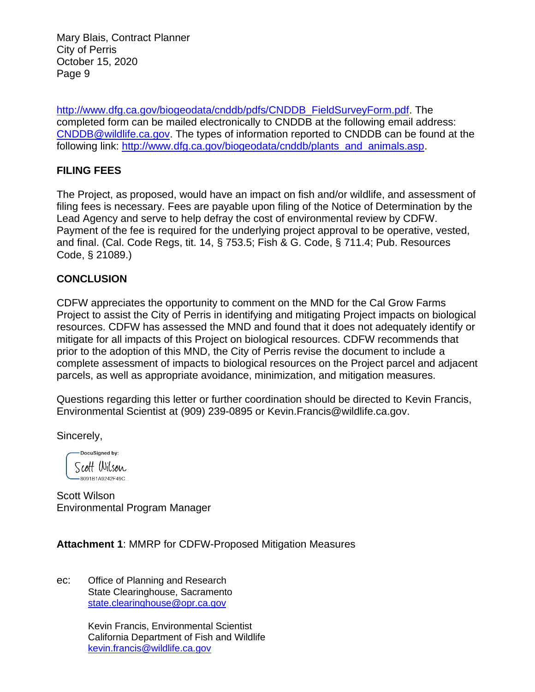[http://www.dfg.ca.gov/biogeodata/cnddb/pdfs/CNDDB\\_FieldSurveyForm.pdf.](http://www.dfg.ca.gov/biogeodata/cnddb/pdfs/CNDDB_FieldSurveyForm.pdf) The completed form can be mailed electronically to CNDDB at the following email address: [CNDDB@wildlife.ca.gov.](mailto:cnddb@dfg.ca.gov) The types of information reported to CNDDB can be found at the following link: [http://www.dfg.ca.gov/biogeodata/cnddb/plants\\_and\\_animals.asp.](http://www.dfg.ca.gov/biogeodata/cnddb/plants_and_animals.asp)

## **FILING FEES**

The Project, as proposed, would have an impact on fish and/or wildlife, and assessment of filing fees is necessary. Fees are payable upon filing of the Notice of Determination by the Lead Agency and serve to help defray the cost of environmental review by CDFW. Payment of the fee is required for the underlying project approval to be operative, vested, and final. (Cal. Code Regs, tit. 14, § 753.5; Fish & G. Code, § 711.4; Pub. Resources Code, § 21089.)

### **CONCLUSION**

CDFW appreciates the opportunity to comment on the MND for the Cal Grow Farms Project to assist the City of Perris in identifying and mitigating Project impacts on biological resources. CDFW has assessed the MND and found that it does not adequately identify or mitigate for all impacts of this Project on biological resources. CDFW recommends that prior to the adoption of this MND, the City of Perris revise the document to include a complete assessment of impacts to biological resources on the Project parcel and adjacent parcels, as well as appropriate avoidance, minimization, and mitigation measures.

Questions regarding this letter or further coordination should be directed to Kevin Francis, Environmental Scientist at (909) 239-0895 or Kevin.Francis@wildlife.ca.gov.

Sincerely,

DocuSigned by: Scott Wilson -8091B1A9242F49C...

Scott Wilson Environmental Program Manager

**Attachment 1**: MMRP for CDFW-Proposed Mitigation Measures

ec: Office of Planning and Research State Clearinghouse, Sacramento [state.clearinghouse@opr.ca.gov](mailto:state.clearinghouse@opr.ca.gov)

> Kevin Francis, Environmental Scientist California Department of Fish and Wildlife [kevin.francis@wildlife.ca.gov](mailto:kevin.francis@wildlife.ca.gov)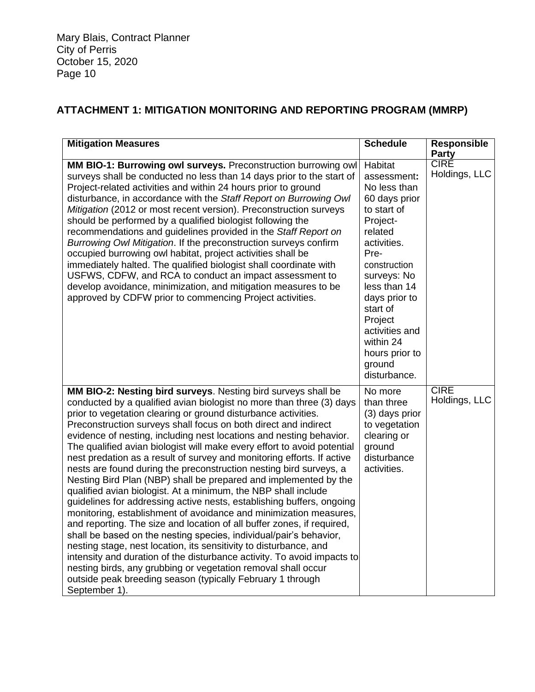# **ATTACHMENT 1: MITIGATION MONITORING AND REPORTING PROGRAM (MMRP)**

| <b>Mitigation Measures</b>                                                                                                                                                                                                                                                                                                                                                                                                                                                                                                                                                                                                                                                                                                                                                                                                                                                                                                                                                                                                                                                                                                                                                                                                                                                                                      | <b>Schedule</b>                                                                                                                                                                                                                                                                        | <b>Responsible</b>                           |
|-----------------------------------------------------------------------------------------------------------------------------------------------------------------------------------------------------------------------------------------------------------------------------------------------------------------------------------------------------------------------------------------------------------------------------------------------------------------------------------------------------------------------------------------------------------------------------------------------------------------------------------------------------------------------------------------------------------------------------------------------------------------------------------------------------------------------------------------------------------------------------------------------------------------------------------------------------------------------------------------------------------------------------------------------------------------------------------------------------------------------------------------------------------------------------------------------------------------------------------------------------------------------------------------------------------------|----------------------------------------------------------------------------------------------------------------------------------------------------------------------------------------------------------------------------------------------------------------------------------------|----------------------------------------------|
| MM BIO-1: Burrowing owl surveys. Preconstruction burrowing owl<br>surveys shall be conducted no less than 14 days prior to the start of<br>Project-related activities and within 24 hours prior to ground<br>disturbance, in accordance with the Staff Report on Burrowing Owl<br>Mitigation (2012 or most recent version). Preconstruction surveys<br>should be performed by a qualified biologist following the<br>recommendations and guidelines provided in the Staff Report on<br>Burrowing Owl Mitigation. If the preconstruction surveys confirm<br>occupied burrowing owl habitat, project activities shall be<br>immediately halted. The qualified biologist shall coordinate with<br>USFWS, CDFW, and RCA to conduct an impact assessment to<br>develop avoidance, minimization, and mitigation measures to be<br>approved by CDFW prior to commencing Project activities.                                                                                                                                                                                                                                                                                                                                                                                                                            | Habitat<br>assessment:<br>No less than<br>60 days prior<br>to start of<br>Project-<br>related<br>activities.<br>Pre-<br>construction<br>surveys: No<br>less than 14<br>days prior to<br>start of<br>Project<br>activities and<br>within 24<br>hours prior to<br>ground<br>disturbance. | <b>Party</b><br><b>CIRE</b><br>Holdings, LLC |
| MM BIO-2: Nesting bird surveys. Nesting bird surveys shall be<br>conducted by a qualified avian biologist no more than three (3) days<br>prior to vegetation clearing or ground disturbance activities.<br>Preconstruction surveys shall focus on both direct and indirect<br>evidence of nesting, including nest locations and nesting behavior.<br>The qualified avian biologist will make every effort to avoid potential<br>nest predation as a result of survey and monitoring efforts. If active<br>nests are found during the preconstruction nesting bird surveys, a<br>Nesting Bird Plan (NBP) shall be prepared and implemented by the<br>qualified avian biologist. At a minimum, the NBP shall include<br>guidelines for addressing active nests, establishing buffers, ongoing<br>monitoring, establishment of avoidance and minimization measures,<br>and reporting. The size and location of all buffer zones, if required<br>shall be based on the nesting species, individual/pair's behavior,<br>nesting stage, nest location, its sensitivity to disturbance, and<br>intensity and duration of the disturbance activity. To avoid impacts to<br>nesting birds, any grubbing or vegetation removal shall occur<br>outside peak breeding season (typically February 1 through<br>September 1). | No more<br>than three<br>(3) days prior<br>to vegetation<br>clearing or<br>ground<br>disturbance<br>activities.                                                                                                                                                                        | <b>CIRE</b><br>Holdings, LLC                 |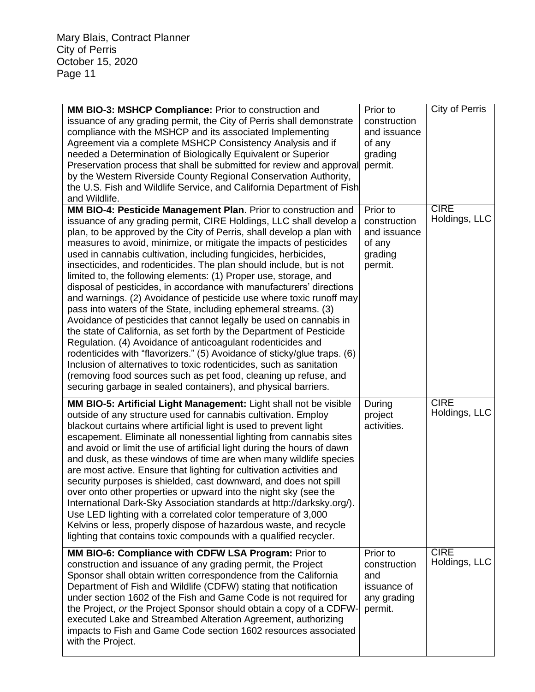| MM BIO-3: MSHCP Compliance: Prior to construction and<br>issuance of any grading permit, the City of Perris shall demonstrate<br>compliance with the MSHCP and its associated Implementing<br>Agreement via a complete MSHCP Consistency Analysis and if<br>needed a Determination of Biologically Equivalent or Superior<br>Preservation process that shall be submitted for review and approval<br>by the Western Riverside County Regional Conservation Authority,<br>the U.S. Fish and Wildlife Service, and California Department of Fish<br>and Wildlife.                                                                                                                                                                                                                                                                                                                                                                                                                                                                                                                                                                                                                                                           | Prior to<br>construction<br>and issuance<br>of any<br>grading<br>permit. | <b>City of Perris</b>        |
|---------------------------------------------------------------------------------------------------------------------------------------------------------------------------------------------------------------------------------------------------------------------------------------------------------------------------------------------------------------------------------------------------------------------------------------------------------------------------------------------------------------------------------------------------------------------------------------------------------------------------------------------------------------------------------------------------------------------------------------------------------------------------------------------------------------------------------------------------------------------------------------------------------------------------------------------------------------------------------------------------------------------------------------------------------------------------------------------------------------------------------------------------------------------------------------------------------------------------|--------------------------------------------------------------------------|------------------------------|
| MM BIO-4: Pesticide Management Plan. Prior to construction and<br>issuance of any grading permit, CIRE Holdings, LLC shall develop a<br>plan, to be approved by the City of Perris, shall develop a plan with<br>measures to avoid, minimize, or mitigate the impacts of pesticides<br>used in cannabis cultivation, including fungicides, herbicides,<br>insecticides, and rodenticides. The plan should include, but is not<br>limited to, the following elements: (1) Proper use, storage, and<br>disposal of pesticides, in accordance with manufacturers' directions<br>and warnings. (2) Avoidance of pesticide use where toxic runoff may<br>pass into waters of the State, including ephemeral streams. (3)<br>Avoidance of pesticides that cannot legally be used on cannabis in<br>the state of California, as set forth by the Department of Pesticide<br>Regulation. (4) Avoidance of anticoagulant rodenticides and<br>rodenticides with "flavorizers." (5) Avoidance of sticky/glue traps. (6)<br>Inclusion of alternatives to toxic rodenticides, such as sanitation<br>(removing food sources such as pet food, cleaning up refuse, and<br>securing garbage in sealed containers), and physical barriers. | Prior to<br>construction<br>and issuance<br>of any<br>grading<br>permit. | <b>CIRE</b><br>Holdings, LLC |
| MM BIO-5: Artificial Light Management: Light shall not be visible<br>outside of any structure used for cannabis cultivation. Employ<br>blackout curtains where artificial light is used to prevent light<br>escapement. Eliminate all nonessential lighting from cannabis sites<br>and avoid or limit the use of artificial light during the hours of dawn<br>and dusk, as these windows of time are when many wildlife species<br>are most active. Ensure that lighting for cultivation activities and<br>security purposes is shielded, cast downward, and does not spill<br>over onto other properties or upward into the night sky (see the<br>International Dark-Sky Association standards at http://darksky.org/).<br>Use LED lighting with a correlated color temperature of 3,000<br>Kelvins or less, properly dispose of hazardous waste, and recycle<br>lighting that contains toxic compounds with a qualified recycler.                                                                                                                                                                                                                                                                                       | During<br>project<br>activities.                                         | <b>CIRE</b><br>Holdings, LLC |
| MM BIO-6: Compliance with CDFW LSA Program: Prior to<br>construction and issuance of any grading permit, the Project<br>Sponsor shall obtain written correspondence from the California<br>Department of Fish and Wildlife (CDFW) stating that notification<br>under section 1602 of the Fish and Game Code is not required for<br>the Project, or the Project Sponsor should obtain a copy of a CDFW-<br>executed Lake and Streambed Alteration Agreement, authorizing<br>impacts to Fish and Game Code section 1602 resources associated<br>with the Project.                                                                                                                                                                                                                                                                                                                                                                                                                                                                                                                                                                                                                                                           | Prior to<br>construction<br>and<br>issuance of<br>any grading<br>permit. | <b>CIRE</b><br>Holdings, LLC |